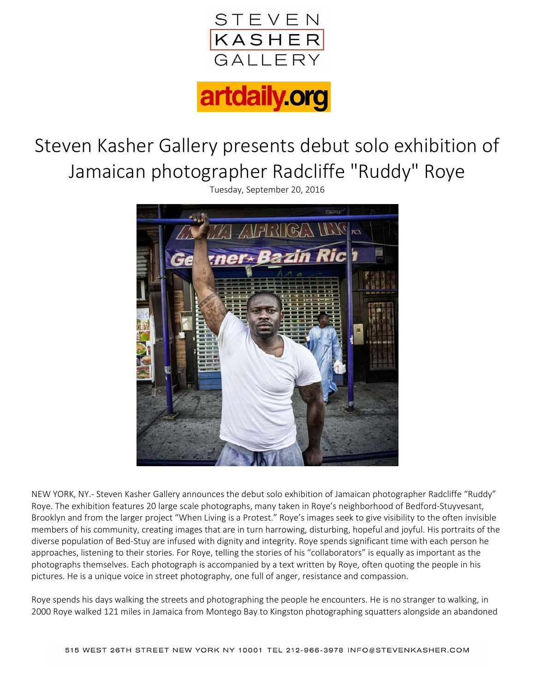

## artdaily.org

## Steven Kasher Gallery presents debut solo exhibition of Jamaican photographer Radcliffe "Ruddy" Roye

Tuesday, September 20, 2016



NEW YORK, NY.- Steven Kasher Gallery announces the debut solo exhibition of Jamaican photographer Radcliffe "Ruddy" Roye. The exhibition features 20 large scale photographs, many taken in Roye's neighborhood of Bedford-Stuyvesant, Brooklyn and from the larger project "When Living is a Protest." Roye's images seek to give visibility to the often invisible members of his community, creating images that are in turn harrowing, disturbing, hopeful and joyful. His portraits of the diverse population of Bed-Stuy are infused with dignity and integrity. Roye spends significant time with each person he approaches, listening to their stories. For Roye, telling the stories of his "collaborators" is equally as important as the photographs themselves. Each photograph is accompanied by a text written by Roye, often quoting the people in his pictures. He is a unique voice in street photography, one full of anger, resistance and compassion.

Roye spends his days walking the streets and photographing the people he encounters. He is no stranger to walking, in 2000 Roye walked 121 miles in Jamaica from Montego Bay to Kingston photographing squatters alongside an abandoned